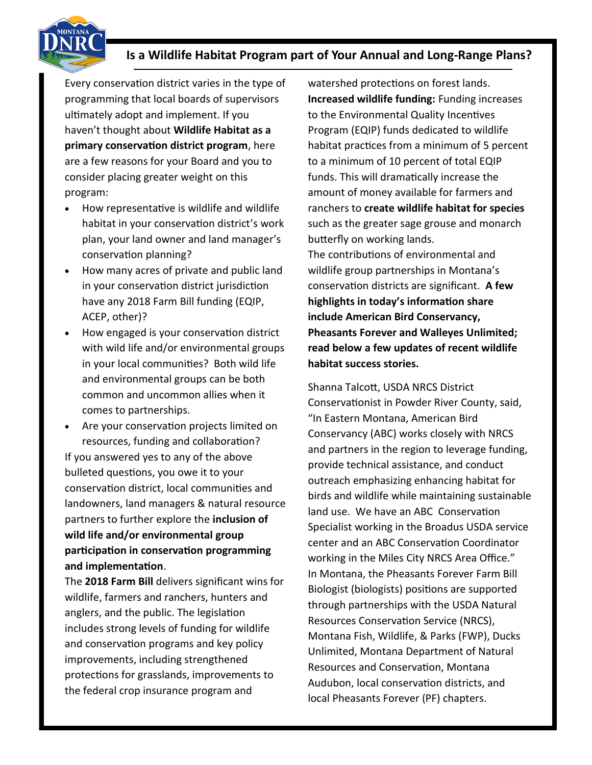## **Is a Wildlife Habitat Program part of Your Annual and Long-Range Plans?**

Every conservation district varies in the type of programming that local boards of supervisors ultimately adopt and implement. If you haven't thought about **Wildlife Habitat as a primary conservation district program**, here are a few reasons for your Board and you to consider placing greater weight on this program:

- How representative is wildlife and wildlife habitat in your conservation district's work plan, your land owner and land manager's conservation planning?
- How many acres of private and public land in your conservation district jurisdiction have any 2018 Farm Bill funding (EQIP, ACEP, other)?
- How engaged is your conservation district with wild life and/or environmental groups in your local communities? Both wild life and environmental groups can be both common and uncommon allies when it comes to partnerships.
- Are your conservation projects limited on resources, funding and collaboration? If you answered yes to any of the above bulleted questions, you owe it to your conservation district, local communities and landowners, land managers & natural resource partners to further explore the **inclusion of wild life and/or environmental group participation in conservation programming and implementation**.

The **2018 Farm Bill** delivers significant wins for wildlife, farmers and ranchers, hunters and anglers, and the public. The legislation includes strong levels of funding for wildlife and conservation programs and key policy improvements, including strengthened protections for grasslands, improvements to the federal crop insurance program and

watershed protections on forest lands. **Increased wildlife funding:** Funding increases to the Environmental Quality Incentives Program (EQIP) funds dedicated to wildlife habitat practices from a minimum of 5 percent to a minimum of 10 percent of total EQIP funds. This will dramatically increase the amount of money available for farmers and ranchers to **create wildlife habitat for species** such as the greater sage grouse and monarch butterfly on working lands.

The contributions of environmental and wildlife group partnerships in Montana's conservation districts are significant. **A few highlights in today's information share include American Bird Conservancy, Pheasants Forever and Walleyes Unlimited; read below a few updates of recent wildlife habitat success stories.**

Shanna Talcott, USDA NRCS District Conservationist in Powder River County, said, "In Eastern Montana, American Bird Conservancy (ABC) works closely with NRCS and partners in the region to leverage funding, provide technical assistance, and conduct outreach emphasizing enhancing habitat for birds and wildlife while maintaining sustainable land use. We have an ABC Conservation Specialist working in the Broadus USDA service center and an ABC Conservation Coordinator working in the Miles City NRCS Area Office." In Montana, the Pheasants Forever Farm Bill Biologist (biologists) positions are supported through partnerships with the USDA Natural Resources Conservation Service (NRCS), Montana Fish, Wildlife, & Parks (FWP), Ducks Unlimited, Montana Department of Natural Resources and Conservation, Montana Audubon, local conservation districts, and local Pheasants Forever (PF) chapters.